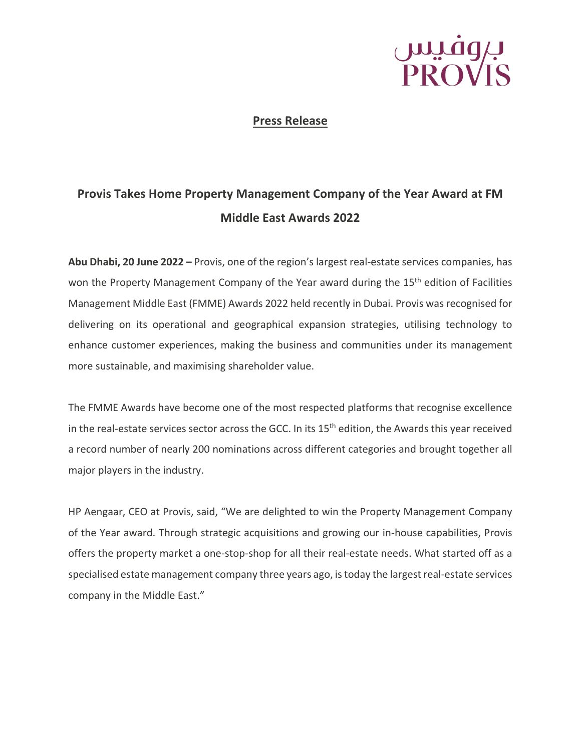

### **Press Release**

### **Provis Takes Home Property Management Company of the Year Award at FM Middle East Awards 2022**

**Abu Dhabi, 20 June 2022 –** Provis, one of the region's largest real-estate services companies, has won the Property Management Company of the Year award during the 15<sup>th</sup> edition of Facilities Management Middle East (FMME) Awards 2022 held recently in Dubai. Provis was recognised for delivering on its operational and geographical expansion strategies, utilising technology to enhance customer experiences, making the business and communities under its management more sustainable, and maximising shareholder value.

The FMME Awards have become one of the most respected platforms that recognise excellence in the real-estate services sector across the GCC. In its 15<sup>th</sup> edition, the Awards this year received a record number of nearly 200 nominations across different categories and brought together all major players in the industry.

HP Aengaar, CEO at Provis, said, "We are delighted to win the Property Management Company of the Year award. Through strategic acquisitions and growing our in-house capabilities, Provis offers the property market a one-stop-shop for all their real-estate needs. What started off as a specialised estate management company three years ago, is today the largest real-estate services company in the Middle East."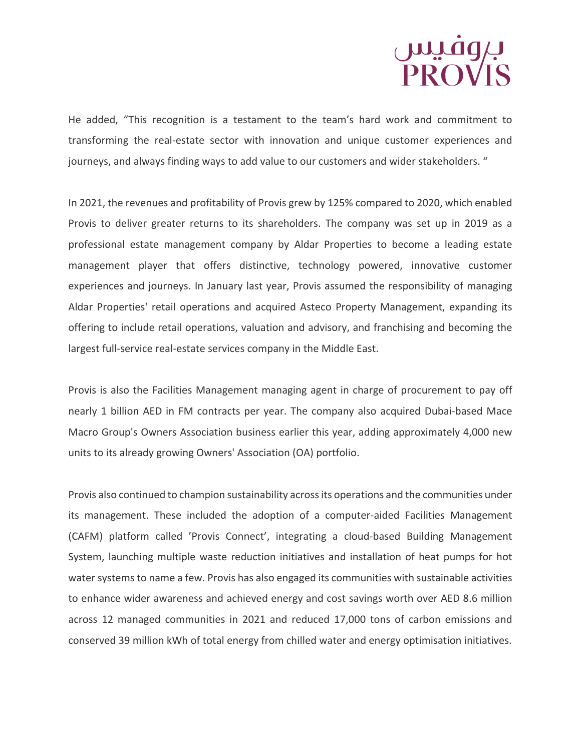# بروفیس<br>PROVIS

He added, "This recognition is a testament to the team's hard work and commitment to transforming the real-estate sector with innovation and unique customer experiences and journeys, and always finding ways to add value to our customers and wider stakeholders. "

In 2021, the revenues and profitability of Provis grew by 125% compared to 2020, which enabled Provis to deliver greater returns to its shareholders. The company was set up in 2019 as a professional estate management company by Aldar Properties to become a leading estate management player that offers distinctive, technology powered, innovative customer experiences and journeys. In January last year, Provis assumed the responsibility of managing Aldar Properties' retail operations and acquired Asteco Property Management, expanding its offering to include retail operations, valuation and advisory, and franchising and becoming the largest full-service real-estate services company in the Middle East.

Provis is also the Facilities Management managing agent in charge of procurement to pay off nearly 1 billion AED in FM contracts per year. The company also acquired Dubai-based Mace Macro Group's Owners Association business earlier this year, adding approximately 4,000 new units to its already growing Owners' Association (OA) portfolio.

Provis also continued to champion sustainability across its operations and the communities under its management. These included the adoption of a computer-aided Facilities Management (CAFM) platform called 'Provis Connect', integrating a cloud-based Building Management System, launching multiple waste reduction initiatives and installation of heat pumps for hot water systems to name a few. Provis has also engaged its communities with sustainable activities to enhance wider awareness and achieved energy and cost savings worth over AED 8.6 million across 12 managed communities in 2021 and reduced 17,000 tons of carbon emissions and conserved 39 million kWh of total energy from chilled water and energy optimisation initiatives.